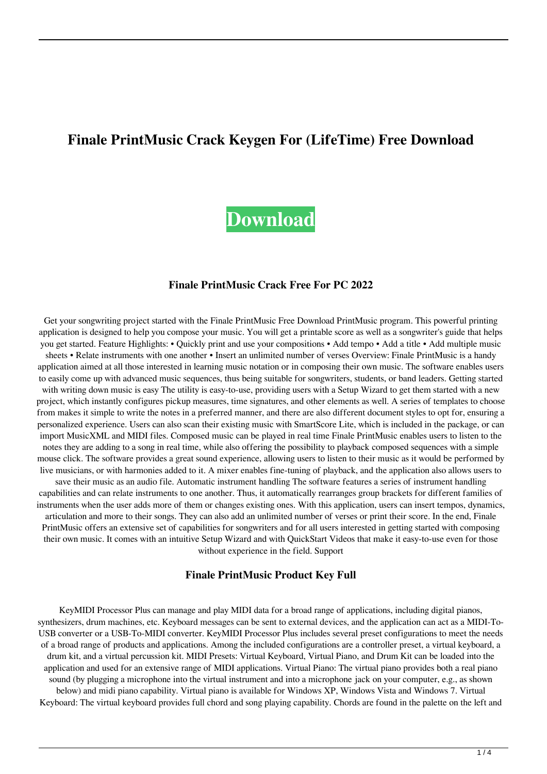# **Finale PrintMusic Crack Keygen For (LifeTime) Free Download**



#### **Finale PrintMusic Crack Free For PC 2022**

Get your songwriting project started with the Finale PrintMusic Free Download PrintMusic program. This powerful printing application is designed to help you compose your music. You will get a printable score as well as a songwriter's guide that helps you get started. Feature Highlights: • Quickly print and use your compositions • Add tempo • Add a title • Add multiple music sheets • Relate instruments with one another • Insert an unlimited number of verses Overview: Finale PrintMusic is a handy application aimed at all those interested in learning music notation or in composing their own music. The software enables users to easily come up with advanced music sequences, thus being suitable for songwriters, students, or band leaders. Getting started with writing down music is easy The utility is easy-to-use, providing users with a Setup Wizard to get them started with a new project, which instantly configures pickup measures, time signatures, and other elements as well. A series of templates to choose from makes it simple to write the notes in a preferred manner, and there are also different document styles to opt for, ensuring a personalized experience. Users can also scan their existing music with SmartScore Lite, which is included in the package, or can import MusicXML and MIDI files. Composed music can be played in real time Finale PrintMusic enables users to listen to the notes they are adding to a song in real time, while also offering the possibility to playback composed sequences with a simple mouse click. The software provides a great sound experience, allowing users to listen to their music as it would be performed by live musicians, or with harmonies added to it. A mixer enables fine-tuning of playback, and the application also allows users to save their music as an audio file. Automatic instrument handling The software features a series of instrument handling capabilities and can relate instruments to one another. Thus, it automatically rearranges group brackets for different families of instruments when the user adds more of them or changes existing ones. With this application, users can insert tempos, dynamics, articulation and more to their songs. They can also add an unlimited number of verses or print their score. In the end, Finale PrintMusic offers an extensive set of capabilities for songwriters and for all users interested in getting started with composing their own music. It comes with an intuitive Setup Wizard and with QuickStart Videos that make it easy-to-use even for those without experience in the field. Support

#### **Finale PrintMusic Product Key Full**

KeyMIDI Processor Plus can manage and play MIDI data for a broad range of applications, including digital pianos, synthesizers, drum machines, etc. Keyboard messages can be sent to external devices, and the application can act as a MIDI-To-USB converter or a USB-To-MIDI converter. KeyMIDI Processor Plus includes several preset configurations to meet the needs of a broad range of products and applications. Among the included configurations are a controller preset, a virtual keyboard, a drum kit, and a virtual percussion kit. MIDI Presets: Virtual Keyboard, Virtual Piano, and Drum Kit can be loaded into the application and used for an extensive range of MIDI applications. Virtual Piano: The virtual piano provides both a real piano sound (by plugging a microphone into the virtual instrument and into a microphone jack on your computer, e.g., as shown below) and midi piano capability. Virtual piano is available for Windows XP, Windows Vista and Windows 7. Virtual Keyboard: The virtual keyboard provides full chord and song playing capability. Chords are found in the palette on the left and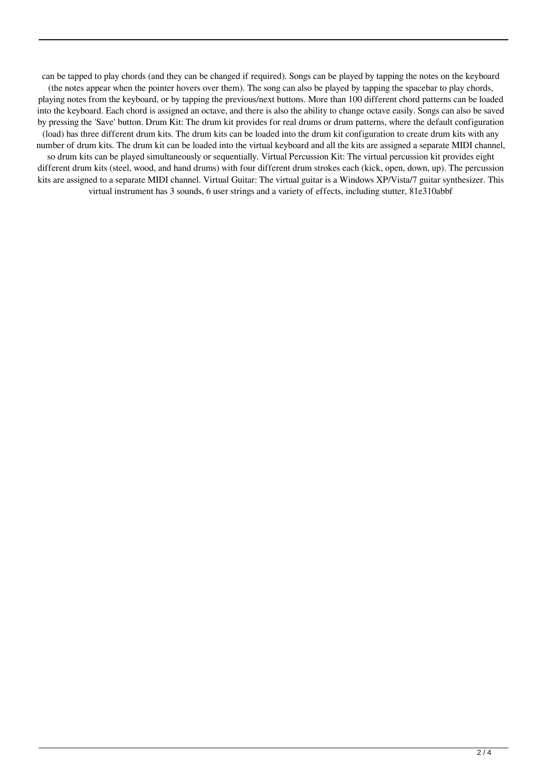can be tapped to play chords (and they can be changed if required). Songs can be played by tapping the notes on the keyboard (the notes appear when the pointer hovers over them). The song can also be played by tapping the spacebar to play chords, playing notes from the keyboard, or by tapping the previous/next buttons. More than 100 different chord patterns can be loaded into the keyboard. Each chord is assigned an octave, and there is also the ability to change octave easily. Songs can also be saved by pressing the 'Save' button. Drum Kit: The drum kit provides for real drums or drum patterns, where the default configuration (load) has three different drum kits. The drum kits can be loaded into the drum kit configuration to create drum kits with any number of drum kits. The drum kit can be loaded into the virtual keyboard and all the kits are assigned a separate MIDI channel, so drum kits can be played simultaneously or sequentially. Virtual Percussion Kit: The virtual percussion kit provides eight different drum kits (steel, wood, and hand drums) with four different drum strokes each (kick, open, down, up). The percussion kits are assigned to a separate MIDI channel. Virtual Guitar: The virtual guitar is a Windows XP/Vista/7 guitar synthesizer. This virtual instrument has 3 sounds, 6 user strings and a variety of effects, including stutter, 81e310abbf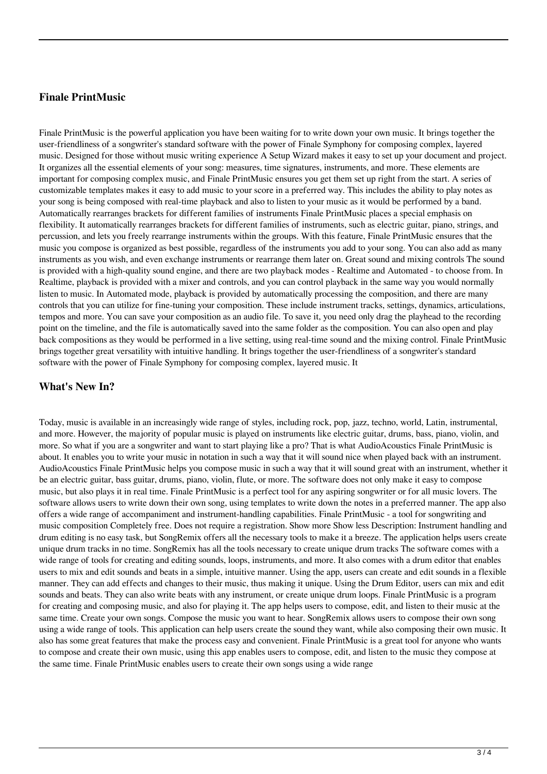### **Finale PrintMusic**

Finale PrintMusic is the powerful application you have been waiting for to write down your own music. It brings together the user-friendliness of a songwriter's standard software with the power of Finale Symphony for composing complex, layered music. Designed for those without music writing experience A Setup Wizard makes it easy to set up your document and project. It organizes all the essential elements of your song: measures, time signatures, instruments, and more. These elements are important for composing complex music, and Finale PrintMusic ensures you get them set up right from the start. A series of customizable templates makes it easy to add music to your score in a preferred way. This includes the ability to play notes as your song is being composed with real-time playback and also to listen to your music as it would be performed by a band. Automatically rearranges brackets for different families of instruments Finale PrintMusic places a special emphasis on flexibility. It automatically rearranges brackets for different families of instruments, such as electric guitar, piano, strings, and percussion, and lets you freely rearrange instruments within the groups. With this feature, Finale PrintMusic ensures that the music you compose is organized as best possible, regardless of the instruments you add to your song. You can also add as many instruments as you wish, and even exchange instruments or rearrange them later on. Great sound and mixing controls The sound is provided with a high-quality sound engine, and there are two playback modes - Realtime and Automated - to choose from. In Realtime, playback is provided with a mixer and controls, and you can control playback in the same way you would normally listen to music. In Automated mode, playback is provided by automatically processing the composition, and there are many controls that you can utilize for fine-tuning your composition. These include instrument tracks, settings, dynamics, articulations, tempos and more. You can save your composition as an audio file. To save it, you need only drag the playhead to the recording point on the timeline, and the file is automatically saved into the same folder as the composition. You can also open and play back compositions as they would be performed in a live setting, using real-time sound and the mixing control. Finale PrintMusic brings together great versatility with intuitive handling. It brings together the user-friendliness of a songwriter's standard software with the power of Finale Symphony for composing complex, layered music. It

#### **What's New In?**

Today, music is available in an increasingly wide range of styles, including rock, pop, jazz, techno, world, Latin, instrumental, and more. However, the majority of popular music is played on instruments like electric guitar, drums, bass, piano, violin, and more. So what if you are a songwriter and want to start playing like a pro? That is what AudioAcoustics Finale PrintMusic is about. It enables you to write your music in notation in such a way that it will sound nice when played back with an instrument. AudioAcoustics Finale PrintMusic helps you compose music in such a way that it will sound great with an instrument, whether it be an electric guitar, bass guitar, drums, piano, violin, flute, or more. The software does not only make it easy to compose music, but also plays it in real time. Finale PrintMusic is a perfect tool for any aspiring songwriter or for all music lovers. The software allows users to write down their own song, using templates to write down the notes in a preferred manner. The app also offers a wide range of accompaniment and instrument-handling capabilities. Finale PrintMusic - a tool for songwriting and music composition Completely free. Does not require a registration. Show more Show less Description: Instrument handling and drum editing is no easy task, but SongRemix offers all the necessary tools to make it a breeze. The application helps users create unique drum tracks in no time. SongRemix has all the tools necessary to create unique drum tracks The software comes with a wide range of tools for creating and editing sounds, loops, instruments, and more. It also comes with a drum editor that enables users to mix and edit sounds and beats in a simple, intuitive manner. Using the app, users can create and edit sounds in a flexible manner. They can add effects and changes to their music, thus making it unique. Using the Drum Editor, users can mix and edit sounds and beats. They can also write beats with any instrument, or create unique drum loops. Finale PrintMusic is a program for creating and composing music, and also for playing it. The app helps users to compose, edit, and listen to their music at the same time. Create your own songs. Compose the music you want to hear. SongRemix allows users to compose their own song using a wide range of tools. This application can help users create the sound they want, while also composing their own music. It also has some great features that make the process easy and convenient. Finale PrintMusic is a great tool for anyone who wants to compose and create their own music, using this app enables users to compose, edit, and listen to the music they compose at the same time. Finale PrintMusic enables users to create their own songs using a wide range